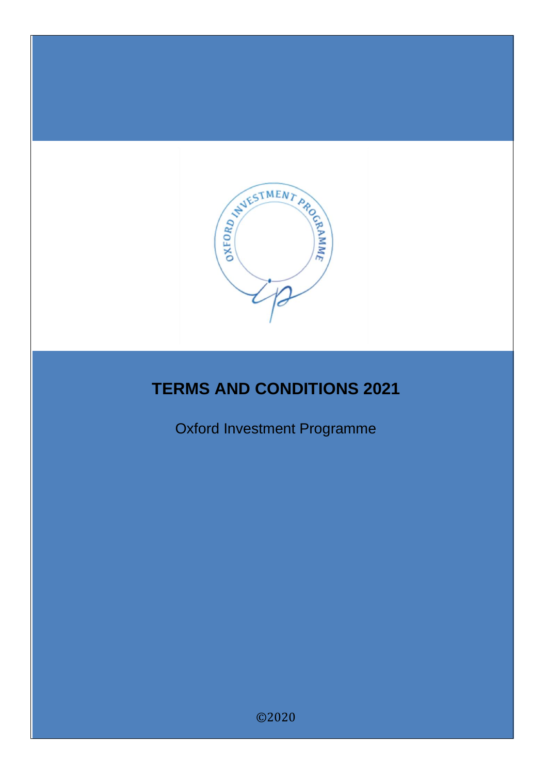

# **TERMS AND CONDITIONS 2021**

Oxford Investment Programme

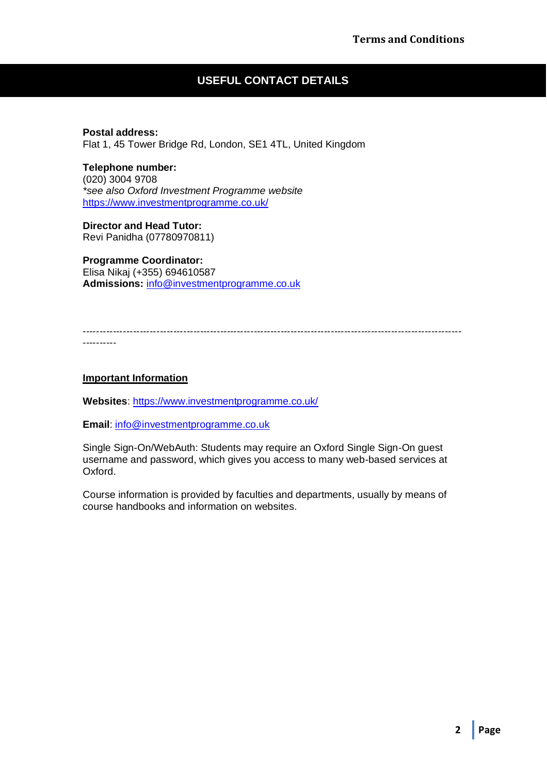### **USEFUL CONTACT DETAILS**

#### **Postal address:**

Flat 1, 45 Tower Bridge Rd, London, SE1 4TL, United Kingdom

#### **Telephone number:**

(020) 3004 9708 *\*see also Oxford Investment Programme website*  https://www.investmentprogramme.co.uk/

## **Director and Head Tutor:**

Revi Panidha (07780970811)

**Programme Coordinator:**  Elisa Nikaj (+355) 694610587 **Admissions:** info@investmentprogramme.co.uk

----------------------------------------------------------------------------------------------------------------- ----------

#### **Important Information**

**Websites**:<https://www.investmentprogramme.co.uk/>

**Email**: info@investmentprogramme.co.uk

Single Sign-On/WebAuth: Students may require an Oxford Single Sign-On guest username and password, which gives you access to many web-based services at Oxford.

Course information is provided by faculties and departments, usually by means of course handbooks and information on websites.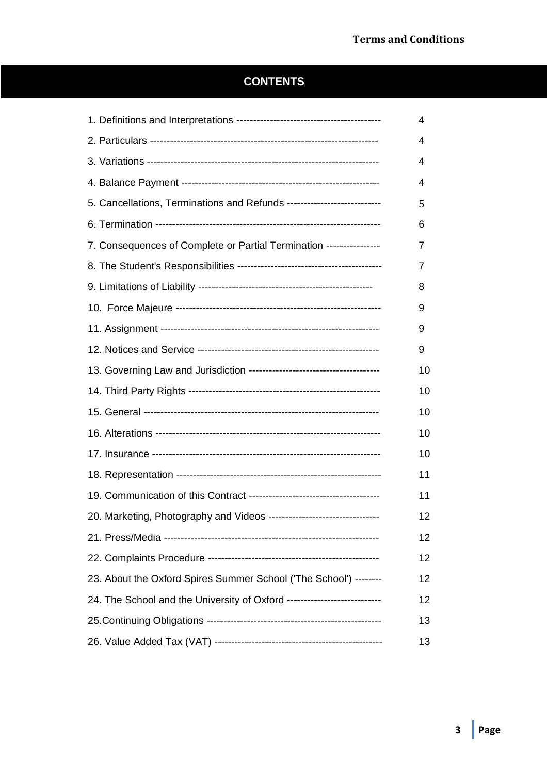# **CONTENTS**

|                                                                         | 4  |
|-------------------------------------------------------------------------|----|
|                                                                         | 4  |
|                                                                         | 4  |
|                                                                         | 4  |
| 5. Cancellations, Terminations and Refunds ---------------------------- | 5  |
|                                                                         | 6  |
| 7. Consequences of Complete or Partial Termination ----------------     | 7  |
|                                                                         | 7  |
|                                                                         | 8  |
|                                                                         | 9  |
|                                                                         | 9  |
|                                                                         | 9  |
|                                                                         | 10 |
|                                                                         | 10 |
|                                                                         | 10 |
|                                                                         | 10 |
|                                                                         | 10 |
|                                                                         | 11 |
|                                                                         | 11 |
| 20. Marketing, Photography and Videos --------------------------------  | 12 |
|                                                                         | 12 |
|                                                                         | 12 |
| 23. About the Oxford Spires Summer School ('The School') --------       | 12 |
| 24. The School and the University of Oxford --------------------------- | 12 |
|                                                                         | 13 |
|                                                                         | 13 |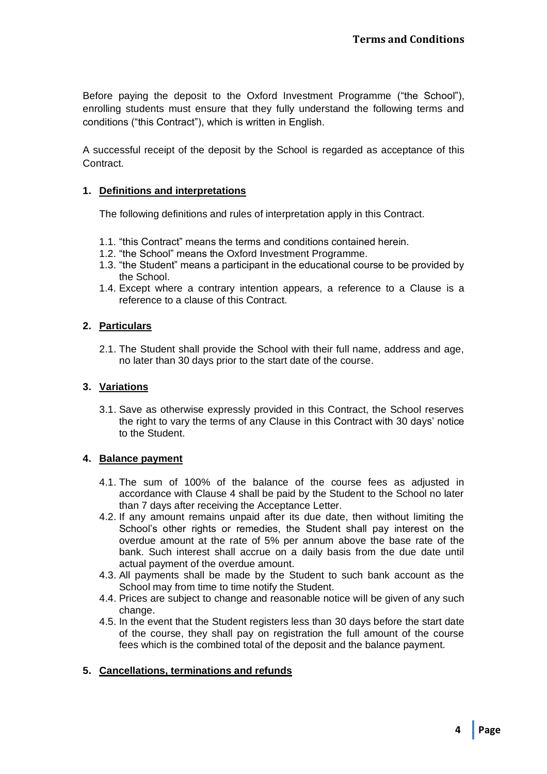Before paying the deposit to the Oxford Investment Programme ("the School"), enrolling students must ensure that they fully understand the following terms and conditions ("this Contract"), which is written in English.

A successful receipt of the deposit by the School is regarded as acceptance of this Contract.

#### **1. Definitions and interpretations**

The following definitions and rules of interpretation apply in this Contract.

- 1.1. "this Contract" means the terms and conditions contained herein.
- 1.2. "the School" means the Oxford Investment Programme.
- 1.3. "the Student" means a participant in the educational course to be provided by the School.
- 1.4. Except where a contrary intention appears, a reference to a Clause is a reference to a clause of this Contract.

#### **2. Particulars**

2.1. The Student shall provide the School with their full name, address and age, no later than 30 days prior to the start date of the course.

#### **3. Variations**

3.1. Save as otherwise expressly provided in this Contract, the School reserves the right to vary the terms of any Clause in this Contract with 30 days' notice to the Student.

#### **4. Balance payment**

- 4.1. The sum of 100% of the balance of the course fees as adjusted in accordance with Clause 4 shall be paid by the Student to the School no later than 7 days after receiving the Acceptance Letter.
- 4.2. If any amount remains unpaid after its due date, then without limiting the School's other rights or remedies, the Student shall pay interest on the overdue amount at the rate of 5% per annum above the base rate of the bank. Such interest shall accrue on a daily basis from the due date until actual payment of the overdue amount.
- 4.3. All payments shall be made by the Student to such bank account as the School may from time to time notify the Student.
- 4.4. Prices are subject to change and reasonable notice will be given of any such change.
- 4.5. In the event that the Student registers less than 30 days before the start date of the course, they shall pay on registration the full amount of the course fees which is the combined total of the deposit and the balance payment.

#### **5. Cancellations, terminations and refunds**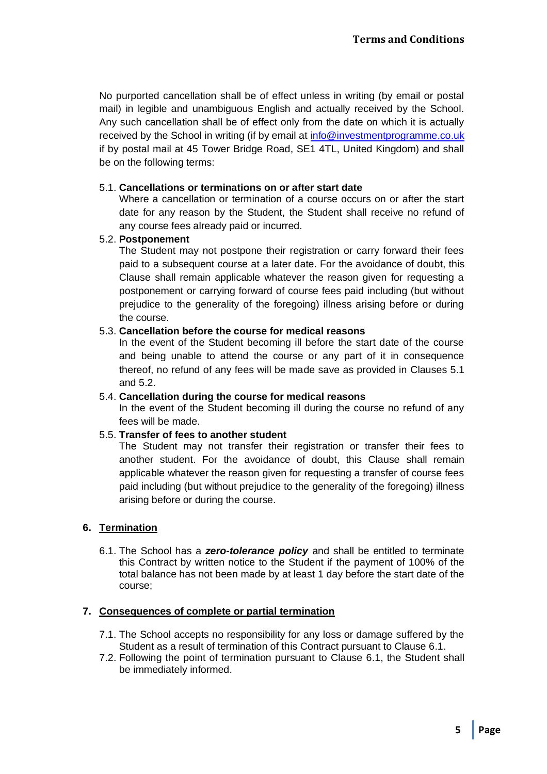No purported cancellation shall be of effect unless in writing (by email or postal mail) in legible and unambiguous English and actually received by the School. Any such cancellation shall be of effect only from the date on which it is actually received by the School in writing (if by email at info@investmentprogramme.co.uk if by postal mail at 45 Tower Bridge Road, SE1 4TL, United Kingdom) and shall be on the following terms:

#### 5.1. **Cancellations or terminations on or after start date**

Where a cancellation or termination of a course occurs on or after the start date for any reason by the Student, the Student shall receive no refund of any course fees already paid or incurred.

#### 5.2. **Postponement**

The Student may not postpone their registration or carry forward their fees paid to a subsequent course at a later date. For the avoidance of doubt, this Clause shall remain applicable whatever the reason given for requesting a postponement or carrying forward of course fees paid including (but without prejudice to the generality of the foregoing) illness arising before or during the course.

#### 5.3. **Cancellation before the course for medical reasons**

In the event of the Student becoming ill before the start date of the course and being unable to attend the course or any part of it in consequence thereof, no refund of any fees will be made save as provided in Clauses 5.1 and 5.2.

#### 5.4. **Cancellation during the course for medical reasons**

In the event of the Student becoming ill during the course no refund of any fees will be made.

#### 5.5. **Transfer of fees to another student**

The Student may not transfer their registration or transfer their fees to another student. For the avoidance of doubt, this Clause shall remain applicable whatever the reason given for requesting a transfer of course fees paid including (but without prejudice to the generality of the foregoing) illness arising before or during the course.

#### **6. Termination**

6.1. The School has a *zero-tolerance policy* and shall be entitled to terminate this Contract by written notice to the Student if the payment of 100% of the total balance has not been made by at least 1 day before the start date of the course;

#### **7. Consequences of complete or partial termination**

- 7.1. The School accepts no responsibility for any loss or damage suffered by the Student as a result of termination of this Contract pursuant to Clause 6.1.
- 7.2. Following the point of termination pursuant to Clause 6.1, the Student shall be immediately informed.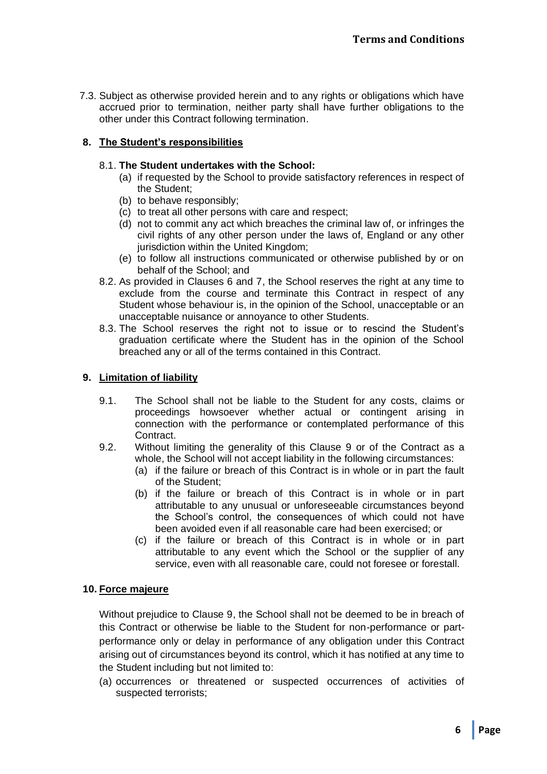7.3. Subject as otherwise provided herein and to any rights or obligations which have accrued prior to termination, neither party shall have further obligations to the other under this Contract following termination.

#### **8. The Student's responsibilities**

#### 8.1. **The Student undertakes with the School:**

- (a) if requested by the School to provide satisfactory references in respect of the Student;
- (b) to behave responsibly;
- (c) to treat all other persons with care and respect;
- (d) not to commit any act which breaches the criminal law of, or infringes the civil rights of any other person under the laws of, England or any other jurisdiction within the United Kingdom;
- (e) to follow all instructions communicated or otherwise published by or on behalf of the School; and
- 8.2. As provided in Clauses 6 and 7, the School reserves the right at any time to exclude from the course and terminate this Contract in respect of any Student whose behaviour is, in the opinion of the School, unacceptable or an unacceptable nuisance or annoyance to other Students.
- 8.3. The School reserves the right not to issue or to rescind the Student's graduation certificate where the Student has in the opinion of the School breached any or all of the terms contained in this Contract.

#### **9. Limitation of liability**

- 9.1. The School shall not be liable to the Student for any costs, claims or proceedings howsoever whether actual or contingent arising in connection with the performance or contemplated performance of this Contract.
- 9.2. Without limiting the generality of this Clause 9 or of the Contract as a whole, the School will not accept liability in the following circumstances:
	- (a) if the failure or breach of this Contract is in whole or in part the fault of the Student;
	- (b) if the failure or breach of this Contract is in whole or in part attributable to any unusual or unforeseeable circumstances beyond the School's control, the consequences of which could not have been avoided even if all reasonable care had been exercised; or
	- (c) if the failure or breach of this Contract is in whole or in part attributable to any event which the School or the supplier of any service, even with all reasonable care, could not foresee or forestall.

#### **10. Force majeure**

Without prejudice to Clause 9, the School shall not be deemed to be in breach of this Contract or otherwise be liable to the Student for non-performance or partperformance only or delay in performance of any obligation under this Contract arising out of circumstances beyond its control, which it has notified at any time to the Student including but not limited to:

(a) occurrences or threatened or suspected occurrences of activities of suspected terrorists;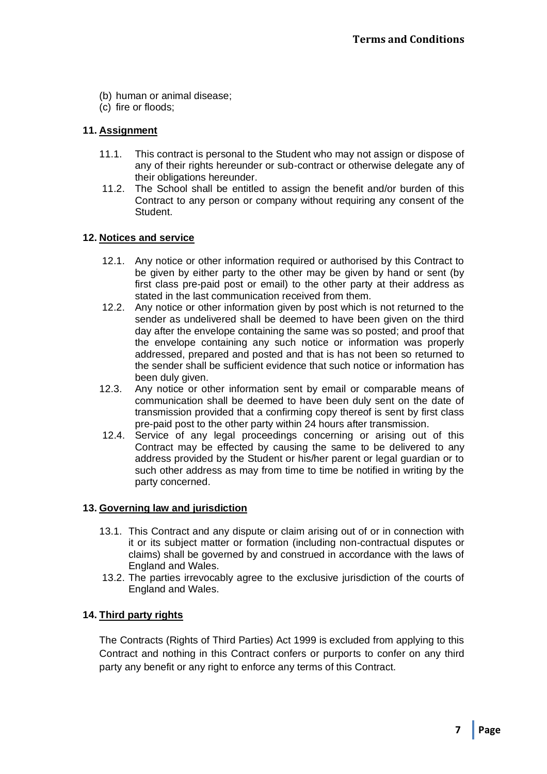- (b) human or animal disease;
- (c) fire or floods;

#### **11. Assignment**

- 11.1. This contract is personal to the Student who may not assign or dispose of any of their rights hereunder or sub-contract or otherwise delegate any of their obligations hereunder.
- 11.2. The School shall be entitled to assign the benefit and/or burden of this Contract to any person or company without requiring any consent of the Student.

#### **12. Notices and service**

- 12.1. Any notice or other information required or authorised by this Contract to be given by either party to the other may be given by hand or sent (by first class pre-paid post or email) to the other party at their address as stated in the last communication received from them.
- 12.2. Any notice or other information given by post which is not returned to the sender as undelivered shall be deemed to have been given on the third day after the envelope containing the same was so posted; and proof that the envelope containing any such notice or information was properly addressed, prepared and posted and that is has not been so returned to the sender shall be sufficient evidence that such notice or information has been duly given.
- 12.3. Any notice or other information sent by email or comparable means of communication shall be deemed to have been duly sent on the date of transmission provided that a confirming copy thereof is sent by first class pre-paid post to the other party within 24 hours after transmission.
- 12.4. Service of any legal proceedings concerning or arising out of this Contract may be effected by causing the same to be delivered to any address provided by the Student or his/her parent or legal guardian or to such other address as may from time to time be notified in writing by the party concerned.

#### **13. Governing law and jurisdiction**

- 13.1. This Contract and any dispute or claim arising out of or in connection with it or its subject matter or formation (including non-contractual disputes or claims) shall be governed by and construed in accordance with the laws of England and Wales.
- 13.2. The parties irrevocably agree to the exclusive jurisdiction of the courts of England and Wales.

#### **14. Third party rights**

The Contracts (Rights of Third Parties) Act 1999 is excluded from applying to this Contract and nothing in this Contract confers or purports to confer on any third party any benefit or any right to enforce any terms of this Contract.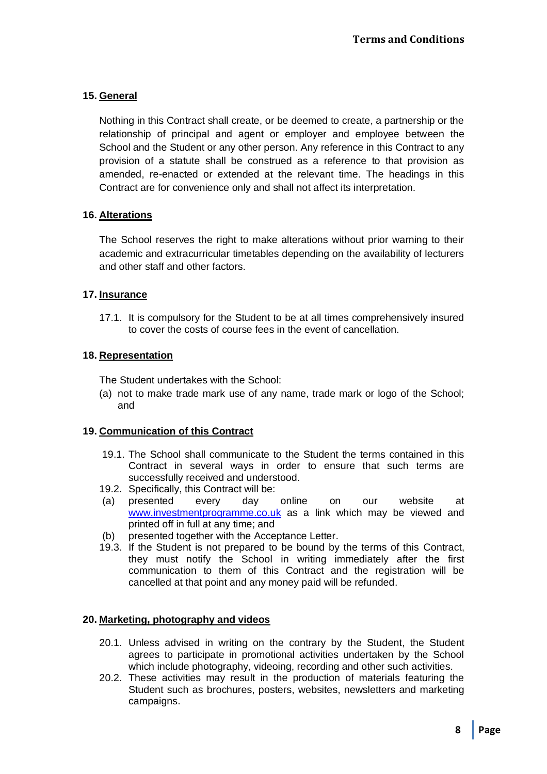#### **15. General**

Nothing in this Contract shall create, or be deemed to create, a partnership or the relationship of principal and agent or employer and employee between the School and the Student or any other person. Any reference in this Contract to any provision of a statute shall be construed as a reference to that provision as amended, re-enacted or extended at the relevant time. The headings in this Contract are for convenience only and shall not affect its interpretation.

#### **16. Alterations**

The School reserves the right to make alterations without prior warning to their academic and extracurricular timetables depending on the availability of lecturers and other staff and other factors.

#### **17. Insurance**

17.1. It is compulsory for the Student to be at all times comprehensively insured to cover the costs of course fees in the event of cancellation.

#### **18. Representation**

The Student undertakes with the School:

(a) not to make trade mark use of any name, trade mark or logo of the School; and

#### **19. Communication of this Contract**

- 19.1. The School shall communicate to the Student the terms contained in this Contract in several ways in order to ensure that such terms are successfully received and understood.
- 19.2. Specifically, this Contract will be:
- (a) presented every day online on our website at www.investmentprogramme.co.uk as a link which may be viewed and printed off in full at any time; and
- (b) presented together with the Acceptance Letter.
- 19.3. If the Student is not prepared to be bound by the terms of this Contract, they must notify the School in writing immediately after the first communication to them of this Contract and the registration will be cancelled at that point and any money paid will be refunded.

#### **20. Marketing, photography and videos**

- 20.1. Unless advised in writing on the contrary by the Student, the Student agrees to participate in promotional activities undertaken by the School which include photography, videoing, recording and other such activities.
- 20.2. These activities may result in the production of materials featuring the Student such as brochures, posters, websites, newsletters and marketing campaigns.